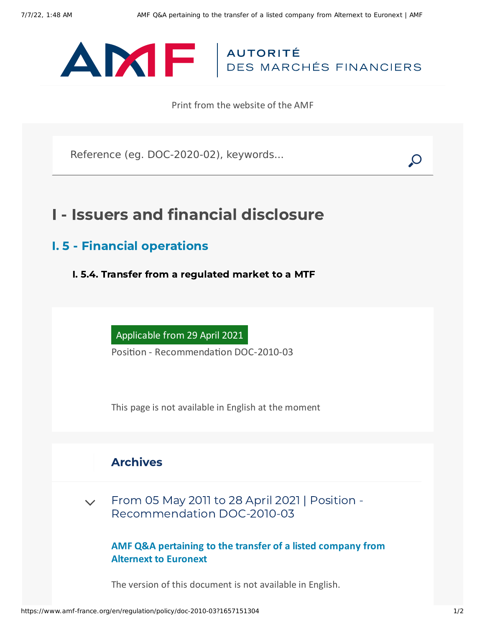

Print from the website of the AMF

Reference (eg. DOC-2020-02), keywords...

## I - Issuers and financial disclosure

I. 5 - Financial operations

I. 5.4. Transfer from a regulated market to a MTF

Applicable from 29 April 2021

Position - Recommendation DOC-2010-03

This page is not available in English at the moment

## Archives

 $\sim$  From 05 May 2011 to 28 April 2021 | Position -[Recommendation](#page-0-0) DOC-2010-03

**AMF Q&A pertaining to the transfer of a listed company from Alternext to Euronext**

<span id="page-0-0"></span>The version of this document is not available in English.